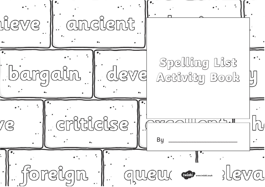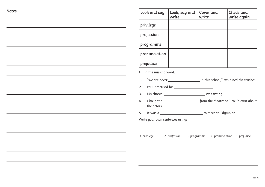|  | ×<br>٧<br>×<br>×<br>٧<br>I<br>I |
|--|---------------------------------|
|--|---------------------------------|

| Look and say                    | Look, say and<br>write                                         | Cover and<br>write                         | Check and<br>write again                                                   |
|---------------------------------|----------------------------------------------------------------|--------------------------------------------|----------------------------------------------------------------------------|
| privilege                       |                                                                |                                            |                                                                            |
| profession                      |                                                                |                                            |                                                                            |
| programme                       |                                                                |                                            |                                                                            |
| pronunciation                   |                                                                |                                            |                                                                            |
| prejudice                       |                                                                |                                            |                                                                            |
| Fill in the missing word.       |                                                                |                                            |                                                                            |
| 1.                              |                                                                |                                            | "We are never ____________________ in this school," explained the teacher. |
| 2.                              | Paul practised his _____________________.                      |                                            |                                                                            |
| 3.                              |                                                                |                                            |                                                                            |
| 4.<br>the actors.               |                                                                |                                            |                                                                            |
| 5.                              | It was a ________________________________ to meet an Olympian. |                                            |                                                                            |
| Write your own sentences using: |                                                                |                                            |                                                                            |
|                                 |                                                                |                                            |                                                                            |
|                                 |                                                                |                                            |                                                                            |
| 1. privilege 2. profession      |                                                                | 3. programme 4. pronunciation 5. prejudice |                                                                            |
|                                 |                                                                |                                            |                                                                            |
|                                 |                                                                |                                            |                                                                            |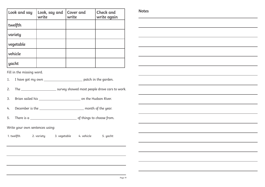| Look and say | Look, say and<br>write | Cover and<br>write | Check and<br>write again | <b>Note</b> |
|--------------|------------------------|--------------------|--------------------------|-------------|
| twelfth      |                        |                    |                          |             |
| variety      |                        |                    |                          |             |
| vegetable    |                        |                    |                          |             |
| vehicle      |                        |                    |                          |             |
| yacht        |                        |                    |                          |             |

**Notes**

Fill in the missing word.

1. I have got my own \_\_\_\_\_\_\_\_\_\_\_\_\_\_\_\_\_\_\_\_\_\_\_\_\_\_ patch in the garden.

 ';8 FHEI8LF;BJ87@BFGC8BC?87EBI864EFGBJBE>

3. Brian sailed his the Hudson River.

4. December is the subsequently assumed that the year.

5. There is a set of things to choose from.

Write your own sentences using:

1. twelfth 2. variety 3. vegetable 4. vehicle 5. yacht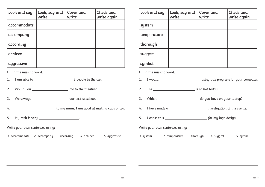| Look and say | Look, say and<br>write | <b>Cover</b> and<br>write | Check and<br>write again |
|--------------|------------------------|---------------------------|--------------------------|
| accommodate  |                        |                           |                          |
| accompany    |                        |                           |                          |
| according    |                        |                           |                          |
| achieve      |                        |                           |                          |
| aggressive   |                        |                           |                          |

- 1. I am able to 3 people in the car.
- 2. Would you \_\_\_\_\_\_\_\_\_\_\_\_\_\_\_\_\_\_\_\_ me to the theatre?
- 3. We always the set our best at school.
- 4. \_\_\_\_\_\_\_\_\_\_\_\_\_\_\_\_\_\_\_\_\_\_\_\_\_\_\_\_\_to my mum, I am good at making cups of tea.

5. My rash is very \_\_\_\_\_\_\_\_\_\_\_\_\_\_\_\_\_\_\_\_\_\_\_.

Write your own sentences using:

1. accommodate 2. accompany 3. accordina 4. achieve 5. agaressive

| Look and say | Look, say and<br>write | Cover and<br>write | Check and<br>write again |
|--------------|------------------------|--------------------|--------------------------|
| system       |                        |                    |                          |
| temperature  |                        |                    |                          |
| thorough     |                        |                    |                          |
| suggest      |                        |                    |                          |
| symbol       |                        |                    |                          |

Fill in the missing word.

- JBH?7 HF<A:G;<FCEB:E4@9BELBHE6B@CHG8E
- 2. The  $\frac{1}{\sqrt{8}}$  is so hot today!
- \*;<6; 7BLBH;4I8BALBHE?4CGBC
- 4. I have made a series and investigation of the events.
- 6;BF8G;<F 9BE@L?B:B78F<:A

Write your own sentences using:

1. sustem 2. temperature  $\alpha$  3. thorough 4. suggest 5. sumbol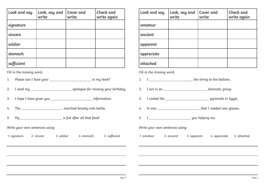| Look and say | Look, say and<br>write | Cover and<br>write | <b>Check</b> and<br>write again |
|--------------|------------------------|--------------------|---------------------------------|
| signature    |                        |                    |                                 |
| sincere      |                        |                    |                                 |
| soldier      |                        |                    |                                 |
| stomach      |                        |                    |                                 |
| sufficient   |                        |                    |                                 |

1. Please can I have your \_\_\_\_\_\_\_\_\_\_\_\_\_\_\_\_\_\_\_\_\_\_\_\_\_\_\_\_\_\_\_\_\_ in my book?

- 2. I send my \_\_\_\_\_\_\_\_\_\_\_\_\_\_\_\_\_\_\_\_\_\_\_\_\_\_\_\_\_\_\_\_ apologies for missing your birthday.
- ;BC8;4I8:<I8ALBH <A9BE@4G<BA
- 4. The marched bravely into battle.
- L <F9H??49G8E4??G;4G9BB7

Write your own sentences using:

| ı. signature | 2. sincere | 3. soldier | 4. stomach | 5. sufficient |
|--------------|------------|------------|------------|---------------|
|              |            |            |            |               |

| Look and say | Look, say and<br>write | Cover and<br>write | Check and<br>write again |
|--------------|------------------------|--------------------|--------------------------|
| amateur      |                        |                    |                          |
| ancient      |                        |                    |                          |
| apparent     |                        |                    |                          |
| appreciate   |                        |                    |                          |
| attached     |                        |                    |                          |

Fill in the missing word.

- 1. I \_\_\_\_\_\_\_\_\_\_\_\_\_\_\_\_\_\_\_\_\_\_\_\_\_\_\_\_\_\_\_the string to the balloon.
- 46G<A4A 7E4@4G<6:EBHC
- 3. I visited the <u>contract the contract of puramids</u> in Equpt.
- 4. It was \_\_\_\_\_\_\_\_\_\_\_\_\_\_\_\_\_\_\_\_\_\_\_\_\_\_\_\_\_that I needed new glasses.
- 5. I values and the set of the set of the set of the set of the set of the set of the set of the set of the set of the set of the set of the set of the set of the set of the set of the set of the set of the set of the set

Write your own sentences using:

1. amateur 2. ancient 3. apparent 4. appreciate 5. attached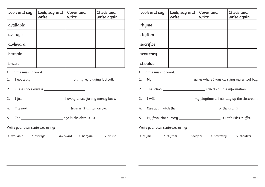| Look and say | Look, say and<br>write | <b>Cover</b> and<br>write | Check and<br>write again |
|--------------|------------------------|---------------------------|--------------------------|
| available    |                        |                           |                          |
| average      |                        |                           |                          |
| awkward      |                        |                           |                          |
| bargain      |                        |                           |                          |
| bruise       |                        |                           |                          |

 :BG45<: BA@L?8:C?4L<A:9BBG54??

 ';8F8F;B8FJ8E84 !

- 3. I felt \_\_\_\_\_\_\_\_\_\_\_\_\_\_\_\_\_\_\_\_\_\_\_ having to ask for my money back.
- 4. The next \_\_\_\_\_\_\_\_\_\_\_\_\_\_\_\_\_\_\_\_\_\_\_\_\_\_\_\_train isn't till tomorrow.
- 5. The new state and the class is 10.

Write your own sentences using:

1. available 2. average 3. awkward 4. bargain 5. bruise

| Look and say | Look, say and<br>write | Cover and<br>write | Check and<br>write again |
|--------------|------------------------|--------------------|--------------------------|
| rhyme        |                        |                    |                          |
| rhythm       |                        |                    |                          |
| sacrifice    |                        |                    |                          |
| secretary    |                        |                    |                          |
| shoulder     |                        |                    |                          |

Fill in the missing word.

- 1. My \_\_\_\_\_\_\_\_\_\_\_\_\_\_\_\_\_\_\_\_\_\_\_\_\_ aches where I was carrying my school bag.
- 2. The school \_\_\_\_\_\_\_\_\_\_\_\_\_\_\_\_\_\_\_\_\_\_\_\_\_\_\_\_\_\_\_\_\_ collects all the information.
- 3. I will <u>entitled a second with manufacture</u> my playtime to help tidy up the classroom.
- 4. Can you match the entity of the drum?
- L94IBHE<G8AHEF8EL <F<GG?8 <FF H998G

Write your own sentences using:

1. rhume 2. rhuthm 3. sacrifice 4. secretaru 5. shoulder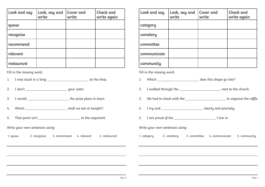| Look and say | Look, say and<br>write | Cover and<br>write | Check and<br>write again |
|--------------|------------------------|--------------------|--------------------------|
| queue        |                        |                    |                          |
| recognise    |                        |                    |                          |
| recommend    |                        |                    |                          |
| relevant     |                        |                    |                          |
| restaurant   |                        |                    |                          |

- J4FFGH6><A4?BA: 4GG;8F;BC
- 7BAnG LBHEF<FG8E
- 3. I would \_\_\_\_\_\_\_\_\_\_\_\_\_\_\_\_\_\_\_\_\_\_\_\_\_\_\_\_\_\_\_the pizza place in town.
- \*;<6; F;4??J884G4GGBA<:;G
- 5. That point isn't \_\_\_\_\_\_\_\_\_\_\_\_\_\_\_\_\_\_\_\_\_\_\_\_\_\_\_\_ to the argument.

Write your own sentences using:

1. queue 2. recognise 3. recommend 4. relevant 5. restaurant

| Look and say | Look, say and<br>write | Cover and<br>write | Check and<br>write again |
|--------------|------------------------|--------------------|--------------------------|
| category     |                        |                    |                          |
| cemetery     |                        |                    |                          |
| committee    |                        |                    |                          |
| communicate  |                        |                    |                          |
| community    |                        |                    |                          |

Fill in the missing word.

- 1. Which \_\_\_\_\_\_\_\_\_\_\_\_\_\_\_\_\_\_\_\_\_\_\_\_\_\_\_\_\_\_\_\_ does this shape go into?
- 2. I walked through the \_\_\_\_\_\_\_\_\_\_\_\_\_\_\_\_\_\_\_\_\_\_\_ next to the church.
- 3. We had to check with the the state of the organise the raffle.
- 4. I try and \_\_\_\_\_\_\_\_\_\_\_\_\_\_\_\_\_\_\_\_\_\_\_\_\_\_\_\_\_\_\_clearly and precisely.
- 4@CEBH7B9G;8 ?<I8<A

Write your own sentences using:

1. category 1. cemetery 3. committee 4. communicate 5. community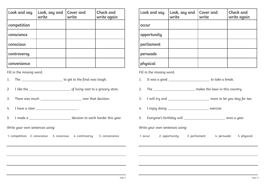| Look and say | Look, say and<br>write | Cover and<br>write | Check and<br>write again |
|--------------|------------------------|--------------------|--------------------------|
| competition  |                        |                    |                          |
| conscience   |                        |                    |                          |
| conscious    |                        |                    |                          |
| controversy  |                        |                    |                          |
| convenience  |                        |                    |                          |

- 1. The \_\_\_\_\_\_\_\_\_\_\_\_\_\_\_\_\_\_\_\_\_\_\_\_\_ to get to the final was tough.
- 2. I like the <u>entitled as a set of</u> living next to a grocery store.
- 3. There was much service that decision.
- 4. I have a clear
- 5. I made a set of the set of the decision to work harder this year.
- Write your own sentences using:
- 1. competition 2. conscience 3. conscious 4. controversu 5. convenience

| Look and say | Look, say and<br>write | Cover and<br>write | Check and<br>write again |
|--------------|------------------------|--------------------|--------------------------|
| occur        |                        |                    |                          |
| opportunity  |                        |                    |                          |
| parliament   |                        |                    |                          |
| persuade     |                        |                    |                          |
| physical     |                        |                    |                          |

Fill in the missing word.

- 1. It was a good \_\_\_\_\_\_\_\_\_\_\_\_\_\_\_\_\_\_\_\_\_\_\_\_\_\_ to take a break.
- ';8 @4>8FG;8?4JF<AG;<F6BHAGEL
- 3. I will try and \_\_\_\_\_\_\_\_\_\_\_\_\_\_\_\_\_\_\_\_\_\_\_\_\_ mum to let you stay for tea.
- 8A=BL7B<A: 8K8E6<F8
- 5. Everyone's birthday will **Example 2018** Conce a year.

Write your own sentences using:

1. occur 2. opportunitu 3. parliament 4. persuade 5. phusical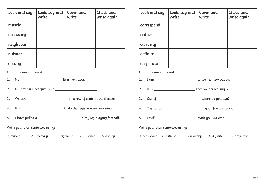| Look and say | Look, say and<br>write | <b>Cover</b> and<br>write | Check and<br>write again |
|--------------|------------------------|---------------------------|--------------------------|
| muscle       |                        |                           |                          |
| necessary    |                        |                           |                          |
| neighbour    |                        |                           |                          |
| nuisance     |                        |                           |                          |
| occupy       |                        |                           |                          |

1. My \_\_\_\_\_\_\_\_\_\_\_\_\_\_\_\_\_\_\_\_\_\_\_\_\_\_\_\_\_\_ lives next door.

- 2. My brother's pet gerbil is a  $\sim$
- \*864A G;<FEBJB9F84GF<AG;8G;84GE8
- 4. It is 1.1 Solution of the requister every morning.
- ;4I8CH??874 <A@L?8:C?4L<A:9BBG54??

Write your own sentences using:

1. muscle and the cessaru and 3. neighbour and 4. nuisance 5. occupu

| Look and say | Look, say and<br>write | Cover and<br>write | Check and<br>write again |
|--------------|------------------------|--------------------|--------------------------|
| correspond   |                        |                    |                          |
| criticise    |                        |                    |                          |
| curiosity    |                        |                    |                          |
| definite     |                        |                    |                          |
| desperate    |                        |                    |                          |

Fill in the missing word.

- 1. I am <u>entitled</u> to see my new puppy.
- G<F G;4GJ84E8?84I<A:5L
- 3. Out of \_\_\_\_\_\_\_\_\_\_\_\_\_\_\_\_\_\_\_\_\_\_\_\_\_\_\_, where do you live?
- 4. Try not to subset of the set of the set of the set of the set of the set of the set of the set of the set of the set of the set of the set of the set of the set of the set of the set of the set of the set of the set of
- 5. I will service the service of the service with you via email.

Write your own sentences using:

1. correspond 2. criticise 3. curiousitu 4. definite 5. desperate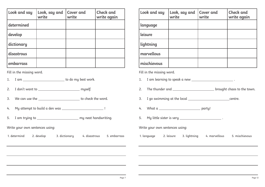| Look and say | Look, say and<br>write | <b>Cover</b> and<br>write | Check and<br>write again |
|--------------|------------------------|---------------------------|--------------------------|
| determined   |                        |                           |                          |
| develop      |                        |                           |                          |
| dictionary   |                        |                           |                          |
| disastrous   |                        |                           |                          |
| embarrass    |                        |                           |                          |

- 1. I am \_\_\_\_\_\_\_\_\_\_\_\_\_\_\_\_\_\_\_\_\_\_\_\_\_\_\_ to do my best work.
- 7BAnGJ4AGGB @LF8?9
- 3. We can use the the series of the check the word.
- L4GG8@CGGB5H<?7478AJ4F !
- 4@GEL<A:GB @LA84G;4A7JE<G<A:

Write your own sentences using:

1. determind 2. develop 3. dictionaru 4. disastrous 5. embarrass

| Look and say | Look, say and<br>write | Cover and<br>write | Check and<br>write again |
|--------------|------------------------|--------------------|--------------------------|
| language     |                        |                    |                          |
| leisure      |                        |                    |                          |
| lightning    |                        |                    |                          |
| marvellous   |                        |                    |                          |
| mischievous  |                        |                    |                          |

Fill in the missing word.

1. I am learning to speak a new  $\frac{1}{\sqrt{1-\frac{1}{2}}}\cdot$ 

- 2. The thunder and \_\_\_\_\_\_\_\_\_\_\_\_\_\_\_\_\_\_\_\_\_\_\_\_\_\_\_\_\_brought chaos to the town.
- 3. I go swimming at the local <u>example and the set of the centre</u>.
- 4. What a party!
- 5. My little sister is very \_\_\_\_\_\_\_\_\_\_\_\_\_\_\_\_\_\_\_\_\_\_\_\_\_\_.

Write your own sentences using:

1. language 2. leisure 3. lightning 4. marvellous 5. mischievous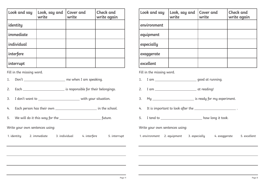| Look and say | Look, say and<br>write | Cover and<br>write | Check and<br>write again |
|--------------|------------------------|--------------------|--------------------------|
| identity     |                        |                    |                          |
| immediate    |                        |                    |                          |
| individual   |                        |                    |                          |
| interfere    |                        |                    |                          |
| interrupt    |                        |                    |                          |

- 1. Don't \_\_\_\_\_\_\_\_\_\_\_\_\_\_\_\_\_\_\_\_\_\_ me when I am speaking.
- 2. Each Charles and Charles and Stress is responsible for their belongings.
- 3. I don't want to \_\_\_\_\_\_\_\_\_\_\_\_\_\_\_\_\_\_\_\_\_\_\_\_\_\_ with your situation.
- 46;C8EFBA;4FG;8<EBJA <AG;8F6;BB?
- 5. We will do it this way for the <u>contained and the future</u>.

Write your own sentences using:

1. identitu 2. immediate 3. individual 4. interfere 5. interrupt

| Look and say | Look, say and<br>write | Cover and<br>write | Check and<br>write again |
|--------------|------------------------|--------------------|--------------------------|
| environment  |                        |                    |                          |
| equipment    |                        |                    |                          |
| especially   |                        |                    |                          |
| exaggerate   |                        |                    |                          |
| excellent    |                        |                    |                          |

Fill in the missing word.

- 1. I am qood at running.
- 4@ 4GE847<A:
- L <FE847L9BE@L8KC8E<@8AG
- 4. It is important to look after the \_\_\_\_\_\_\_\_\_\_\_\_\_\_\_\_\_\_\_\_\_\_\_.
- 5. I tend to \_\_\_\_\_\_\_\_\_\_\_\_\_\_\_\_\_\_\_\_\_\_\_\_\_ how long it took.

Write your own sentences using:

1. environment 2. equipment 3. especially 4. exaggerate 5. excellent